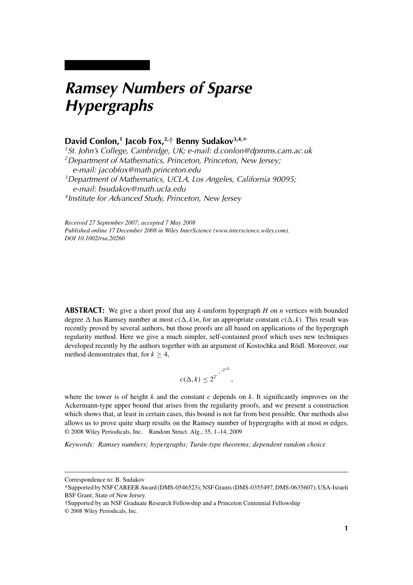# *Ramsey Numbers of Sparse Hypergraphs*

# **David Conlon,1 Jacob Fox,2,**† **Benny Sudakov3,4,**\*

*1St. John's College, Cambridge, UK; e-mail: d.conlon@dpmms.cam.ac.uk 2Department of Mathematics, Princeton, Princeton, New Jersey; e-mail: jacobfox@math.princeton.edu 3Department of Mathematics, UCLA, Los Angeles, California 90095; e-mail: bsudakov@math.ucla.edu 4Institute for Advanced Study, Princeton, New Jersey*

*Received 27 September 2007; accepted 7 May 2008 Published online 17 December 2008 in Wiley InterScience (www.interscience.wiley.com). DOI 10.1002/rsa.20260*

**ABSTRACT:** We give a short proof that any *k*-uniform hypergraph *H* on *n* vertices with bounded degree  $\Delta$  has Ramsey number at most  $c(\Delta, k)n$ , for an appropriate constant  $c(\Delta, k)$ . This result was recently proved by several authors, but those proofs are all based on applications of the hypergraph regularity method. Here we give a much simpler, self-contained proof which uses new techniques developed recently by the authors together with an argument of Kostochka and Rödl. Moreover, our method demonstrates that, for  $k > 4$ ,

$$
c(\Delta, k) \leq 2^{2^{k}}.
$$

where the tower is of height  $k$  and the constant  $c$  depends on  $k$ . It significantly improves on the Ackermann-type upper bound that arises from the regularity proofs, and we present a construction which shows that, at least in certain cases, this bound is not far from best possible. Our methods also allows us to prove quite sharp results on the Ramsey number of hypergraphs with at most *m* edges. © 2008 Wiley Periodicals, Inc. Random Struct. Alg., 35, 1–14, 2009

*Keywords: Ramsey numbers; hypergraphs; Turán-type theorems; dependent random choice*

Correspondence to: B. Sudakov

<sup>\*</sup>Supported by NSF CAREER Award (DMS-0546523); NSF Grants (DMS-0355497, DMS-0635607); USA-Israeli BSF Grant; State of New Jersey.

<sup>†</sup>Supported by an NSF Graduate Research Fellowship and a Princeton Centennial Fellowship

<sup>© 2008</sup> Wiley Periodicals, Inc.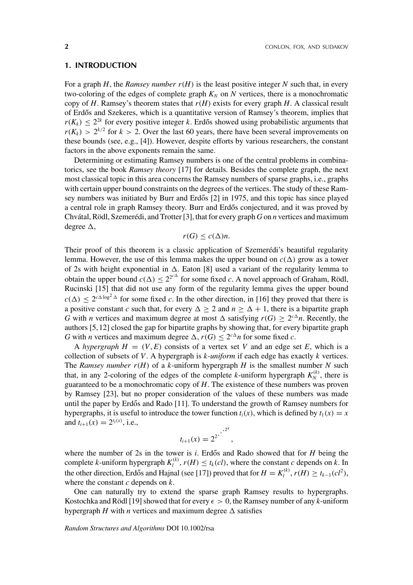#### **1. INTRODUCTION**

For a graph  $H$ , the *Ramsey number*  $r(H)$  is the least positive integer  $N$  such that, in every two-coloring of the edges of complete graph  $K_N$  on  $N$  vertices, there is a monochromatic copy of *H*. Ramsey's theorem states that  $r(H)$  exists for every graph *H*. A classical result of Erdős and Szekeres, which is a quantitative version of Ramsey's theorem, implies that  $r(K_k) \leq 2^{2k}$  for every positive integer *k*. Erdős showed using probabilistic arguments that  $r(K_k) > 2^{k/2}$  for  $k > 2$ . Over the last 60 years, there have been several improvements on these bounds (see, e.g., [4]). However, despite efforts by various researchers, the constant factors in the above exponents remain the same.

Determining or estimating Ramsey numbers is one of the central problems in combinatorics, see the book *Ramsey theory* [17] for details. Besides the complete graph, the next most classical topic in this area concerns the Ramsey numbers of sparse graphs, i.e., graphs with certain upper bound constraints on the degrees of the vertices. The study of these Ramsey numbers was initiated by Burr and Erdős  $[2]$  in 1975, and this topic has since played a central role in graph Ramsey theory. Burr and Erdős conjectured, and it was proved by Chvátal, Rödl, Szemerédi, and Trotter [3], that for every graph *G* on *n* vertices and maximum degree  $\Delta$ ,

$$
r(G) \le c(\Delta)n.
$$

Their proof of this theorem is a classic application of Szemerédi's beautiful regularity lemma. However, the use of this lemma makes the upper bound on  $c(\Delta)$  grow as a tower of 2s with height exponential in  $\Delta$ . Eaton [8] used a variant of the regularity lemma to obtain the upper bound  $c(\Delta) \leq 2^{2^{c\Delta}}$  for some fixed *c*. A novel approach of Graham, Rödl, Rucinski [15] that did not use any form of the regularity lemma gives the upper bound  $c(\Delta) < 2^{c \Delta \log^2 \Delta}$  for some fixed *c*. In the other direction, in [16] they proved that there is a positive constant *c* such that, for every  $\Delta \ge 2$  and  $n \ge \Delta + 1$ , there is a bipartite graph *G* with *n* vertices and maximum degree at most  $\Delta$  satisfying  $r(G) \geq 2^{c\Delta}n$ . Recently, the authors [5, 12] closed the gap for bipartite graphs by showing that, for every bipartite graph *G* with *n* vertices and maximum degree  $\Delta$ ,  $r(G) \leq 2^{c\Delta}n$  for some fixed *c*.

A *hypergraph*  $H = (V, E)$  consists of a vertex set V and an edge set E, which is a collection of subsets of *V*. A hypergraph is *k-uniform* if each edge has exactly *k* vertices. The *Ramsey number*  $r(H)$  of a *k*-uniform hypergraph *H* is the smallest number *N* such that, in any 2-coloring of the edges of the complete *k*-uniform hypergraph  $K_N^{(k)}$ , there is guaranteed to be a monochromatic copy of *H*. The existence of these numbers was proven by Ramsey [23], but no proper consideration of the values of these numbers was made until the paper by Erd $\delta s$  and Rado [11]. To understand the growth of Ramsey numbers for hypergraphs, it is useful to introduce the tower function  $t_i(x)$ , which is defined by  $t_1(x) = x$ and  $t_{i+1}(x) = 2^{t_i(x)}$ , i.e.,

$$
t_{i+1}(x) = 2^{2 \cdot \cdot \cdot 2^x},
$$

where the number of  $2s$  in the tower is *i*. Erdős and Rado showed that for  $H$  being the complete *k*-uniform hypergraph  $K_l^{(k)}$ ,  $r(H) \le t_k(cl)$ , where the constant *c* depends on *k*. In the other direction, Erdős and Hajnal (see [17]) proved that for  $H = K_l^{(k)}$ ,  $r(H) \ge t_{k-1}(cl^2)$ , where the constant *c* depends on *k*.

One can naturally try to extend the sparse graph Ramsey results to hypergraphs. Kostochka and Rödl [19] showed that for every  $\epsilon > 0$ , the Ramsey number of any *k*-uniform hypergraph *H* with *n* vertices and maximum degree  $\Delta$  satisfies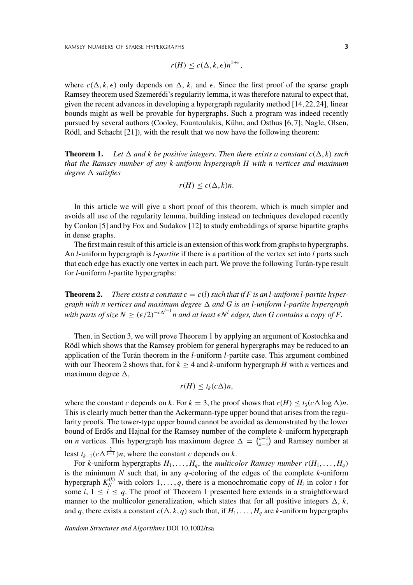$$
r(H) \le c(\Delta, k, \epsilon) n^{1+\epsilon},
$$

where  $c(\Delta, k, \epsilon)$  only depends on  $\Delta$ , k, and  $\epsilon$ . Since the first proof of the sparse graph Ramsey theorem used Szemerédi's regularity lemma, it was therefore natural to expect that, given the recent advances in developing a hypergraph regularity method [14, 22, 24], linear bounds might as well be provable for hypergraphs. Such a program was indeed recently pursued by several authors (Cooley, Fountoulakis, Kühn, and Osthus [6, 7]; Nagle, Olsen, Rödl, and Schacht [21]), with the result that we now have the following theorem:

**Theorem 1.** Let  $\Delta$  and k be positive integers. Then there exists a constant  $c(\Delta, k)$  such *that the Ramsey number of any k-uniform hypergraph H with n vertices and maximum degree satisfies*

$$
r(H) \le c(\Delta, k)n.
$$

In this article we will give a short proof of this theorem, which is much simpler and avoids all use of the regularity lemma, building instead on techniques developed recently by Conlon [5] and by Fox and Sudakov [12] to study embeddings of sparse bipartite graphs in dense graphs.

The first main result of this article is an extension of this work from graphs to hypergraphs. An *l*-uniform hypergraph is *l-partite* if there is a partition of the vertex set into *l* parts such that each edge has exactly one vertex in each part. We prove the following Turán-type result for *l*-uniform *l*-partite hypergraphs:

**Theorem 2.** There exists a constant  $c = c(l)$  such that if F is an *l*-uniform *l*-partite hyper*graph with n vertices and maximum degree and G is an l-uniform l-partite hypergraph*  $with$  parts of size  $N \geq (\epsilon/2)^{-c\Delta^{l-1}}n$  and at least  $\epsilon N^l$  edges, then G contains a copy of F.

Then, in Section 3, we will prove Theorem 1 by applying an argument of Kostochka and Rödl which shows that the Ramsey problem for general hypergraphs may be reduced to an application of the Turán theorem in the *l*-uniform *l*-partite case. This argument combined with our Theorem 2 shows that, for  $k \geq 4$  and *k*-uniform hypergraph *H* with *n* vertices and maximum degree  $\Delta$ ,

$$
r(H) \le t_k(c\Delta)n,
$$

where the constant *c* depends on *k*. For  $k = 3$ , the proof shows that  $r(H) \le t_3(c \Delta \log \Delta)n$ . This is clearly much better than the Ackermann-type upper bound that arises from the regularity proofs. The tower-type upper bound cannot be avoided as demonstrated by the lower bound of Erdős and Hajnal for the Ramsey number of the complete *k*-uniform hypergraph on *n* vertices. This hypergraph has maximum degree  $\Delta = \binom{n-1}{k-1}$  and Ramsey number at least  $t_{k-1}(c\Delta^{\frac{2}{k-1}})n$ , where the constant *c* depends on *k*.

For *k*-uniform hypergraphs  $H_1, \ldots, H_q$ , the *multicolor Ramsey number*  $r(H_1, \ldots, H_q)$ is the minimum *N* such that, in any *q*-coloring of the edges of the complete *k*-uniform hypergraph  $K_N^{(k)}$  with colors  $1, \ldots, q$ , there is a monochromatic copy of  $H_i$  in color *i* for some *i*,  $1 \le i \le q$ . The proof of Theorem 1 presented here extends in a straightforward manner to the multicolor generalization, which states that for all positive integers  $\Delta$ , k, and *q*, there exists a constant  $c(\Delta, k, q)$  such that, if  $H_1, \ldots, H_q$  are *k*-uniform hypergraphs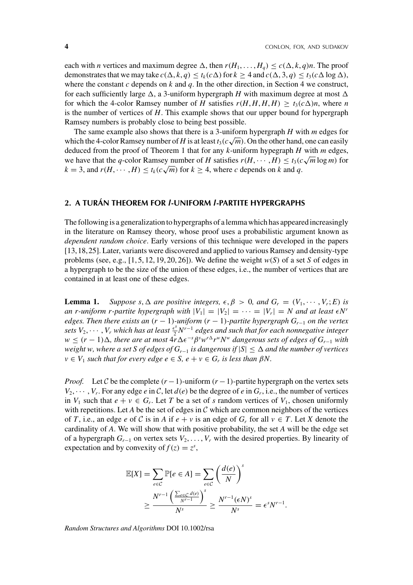each with *n* vertices and maximum degree  $\Delta$ , then  $r(H_1, \ldots, H_q) \leq c(\Delta, k, q)n$ . The proof demonstrates that we may take  $c(\Delta, k, q) \le t_k(c\Delta)$  for  $k \ge 4$  and  $c(\Delta, 3, q) \le t_3(c\Delta \log \Delta)$ , where the constant  $c$  depends on  $k$  and  $q$ . In the other direction, in Section 4 we construct, for each sufficiently large  $\Delta$ , a 3-uniform hypergraph *H* with maximum degree at most  $\Delta$ for which the 4-color Ramsey number of *H* satisfies  $r(H, H, H, H) \ge t_3(c\Delta)n$ , where *n* is the number of vertices of *H*. This example shows that our upper bound for hypergraph Ramsey numbers is probably close to being best possible.

The same example also shows that there is a 3-uniform hypergraph *H* with *m* edges for which the 4-color Ramsey number of *H* is at least  $t_3(c\sqrt{m})$ . On the other hand, one can easily deduced from the proof of Theorem 1 that for any *k*-uniform hypegraph *H* with *m* edges, we have that the *q*-color Ramsey number of *H* satisfies  $r(H, \dots, H) \le t_3(c\sqrt{m}\log m)$  for  $k = 3$ , and  $r(H, \dots, H) \le t_k(c\sqrt{m})$  for  $k \ge 4$ , where *c* depends on *k* and *q*.

## **2. A TURÁN THEOREM FOR** *l***-UNIFORM** *l***-PARTITE HYPERGRAPHS**

The following is a generalization to hypergraphs of a lemma which has appeared increasingly in the literature on Ramsey theory, whose proof uses a probabilistic argument known as *dependent random choice*. Early versions of this technique were developed in the papers [13,18,25]. Later, variants were discovered and applied to various Ramsey and density-type problems (see, e.g.,  $[1, 5, 12, 19, 20, 26]$ ). We define the weight  $w(S)$  of a set *S* of edges in a hypergraph to be the size of the union of these edges, i.e., the number of vertices that are contained in at least one of these edges.

**Lemma 1.** Suppose s,  $\Delta$  are positive integers,  $\epsilon, \beta > 0$ , and  $G_r = (V_1, \dots, V_r; E)$  is *an r-uniform r-partite hypergraph with*  $|V_1| = |V_2| = \cdots = |V_r| = N$  and at least  $\epsilon N^r$ *edges. Then there exists an*  $(r - 1)$ *-uniform*  $(r - 1)$ *-partite hypergraph*  $G_{r-1}$  *on the vertex sets*  $V_2, \dots, V_r$  *which has at least*  $\frac{\epsilon^s}{2} N^{r-1}$  *edges and such that for each nonnegative integer*  $w \le (r-1)\Delta$ , there are at most  $4r\Delta\epsilon^{-s}\beta^{s}w^{r\Delta}r^{w}N^{w}$  dangerous sets of edges of  $G_{r-1}$  with *weight w, where a set S of edges of Gr*−<sup>1</sup> *is dangerous if* |*S*| ≤ *and the number of vertices*  $v \in V_1$  *such that for every edge*  $e \in S$ *,*  $e + v \in G_r$  *is less than*  $\beta N$ *.* 

*Proof.* Let C be the complete  $(r-1)$ -uniform  $(r-1)$ -partite hypergraph on the vertex sets  $V_2, \dots, V_r$ . For any edge *e* in *C*, let  $d(e)$  be the degree of *e* in  $G_r$ , i.e., the number of vertices in  $V_1$  such that  $e + v \in G_r$ . Let T be a set of *s* random vertices of  $V_1$ , chosen uniformly with repetitions. Let  $A$  be the set of edges in  $C$  which are common neighbors of the vertices of *T*, i.e., an edge *e* of *C* is in *A* if  $e + v$  is an edge of  $G_r$  for all  $v \in T$ . Let *X* denote the cardinality of *A*. We will show that with positive probability, the set *A* will be the edge set of a hypergraph  $G_{r-1}$  on vertex sets  $V_2, \ldots, V_r$  with the desired properties. By linearity of expectation and by convexity of  $f(z) = z^s$ ,

$$
\mathbb{E}[X] = \sum_{e \in C} \mathbb{P}[e \in A] = \sum_{e \in C} \left(\frac{d(e)}{N}\right)^s
$$
  
 
$$
\geq \frac{N^{r-1} \left(\frac{\sum_{e \in C} d(e)}{N^{r-1}}\right)^s}{N^s} \geq \frac{N^{r-1} (\epsilon N)^s}{N^s} = \epsilon^s N^{r-1}.
$$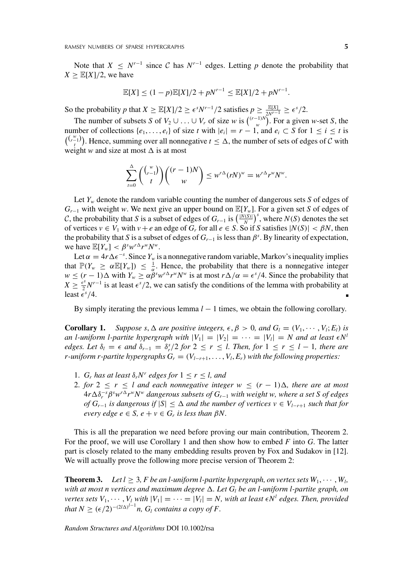Note that *X* ≤ *N<sup>r−1</sup>* since *C* has *N<sup>r−1</sup>* edges. Letting *p* denote the probability that  $X \geq \mathbb{E}[X]/2$ , we have

$$
\mathbb{E}[X] \le (1-p)\mathbb{E}[X]/2 + pN^{r-1} \le \mathbb{E}[X]/2 + pN^{r-1}.
$$

So the probability *p* that  $X \geq \mathbb{E}[X]/2 \geq \epsilon^{s} N^{r-1}/2$  satisfies  $p \geq \frac{\mathbb{E}[X]}{2N^{r-1}} \geq \epsilon^{s}/2$ .

The number of subsets *S* of  $V_2 \cup ... \cup V_r$  of size *w* is  $\binom{(r-1)V}{w}$ . For a given *w*-set *S*, the number of collections  $\{e_1, \ldots, e_t\}$  of size *t* with  $|e_i| = r - 1$ , and  $e_i \subset S$  for  $1 \le i \le t$  is  $\binom{\binom{w}{r-1}}{t}$ . Hence, summing over all nonnegative  $t \leq \Delta$ , the number of sets of edges of C with weight *w* and size at most  $\Delta$  is at most

$$
\sum_{t=0}^{\Delta} \binom{\binom{w}{r-1}}{t} \binom{(r-1)N}{w} \leq w^{r\Delta} (rN)^w = w^{r\Delta} r^w N^w.
$$

Let  $Y_w$  denote the random variable counting the number of dangerous sets *S* of edges of *Gr*−<sup>1</sup> with weight *<sup>w</sup>*. We next give an upper bound on <sup>E</sup>[*Yw*]. For a given set *<sup>S</sup>* of edges of *C*, the probability that *S* is a subset of edges of  $G_{r-1}$  is  $\left(\frac{|N(S)|}{N}\right)^s$ , where *N*(*S*) denotes the set of vertices  $v \in V_1$  with  $v + e$  an edge of  $G_r$  for all  $e \in S$ . So if *S* satisfies  $|N(S)| < \beta N$ , then the probability that *S* is a subset of edges of  $G_{r-1}$  is less than  $\beta^s$ . By linearity of expectation, we have  $\mathbb{E}[Y_w] < \beta^s w^{r\Delta} r^w N^w$ .

Let  $\alpha = 4r\Delta\epsilon^{-s}$ . Since  $Y_w$  is a nonnegative random variable, Markov's inequality implies that  $\mathbb{P}(Y_w \ge \alpha \mathbb{E}[Y_w]) \le \frac{1}{\alpha}$ . Hence, the probability that there is a nonnegative integer  $w \le (r-1)\Delta$  with  $Y_w \ge \alpha \bar{\beta}^s w^{r\Delta} r^w N^w$  is at most  $r\Delta/\alpha = \epsilon^s/4$ . Since the probability that  $X \ge \frac{\epsilon^s}{2} N^{r-1}$  is at least  $\epsilon^s/2$ , we can satisfy the conditions of the lemma with probability at least  $\bar{\epsilon}^s/4$ .

By simply iterating the previous lemma *l* − 1 times, we obtain the following corollary.

**Corollary 1.** Suppose s,  $\Delta$  are positive integers,  $\epsilon, \beta > 0$ , and  $G_l = (V_1, \dots, V_l; E_l)$  is *an l-uniform l-partite hypergraph with*  $|V_1| = |V_2| = \cdots = |V_l| = N$  and at least  $\epsilon N^l$ *edges. Let*  $\delta_l = \epsilon$  *and*  $\delta_{r-1} = \delta_r^s/2$  *for*  $2 \le r \le l$ *. Then, for*  $1 \le r \le l-1$ *, there are r*-uniform *r*-partite hypergraphs  $G_r = (V_{l-r+1}, \ldots, V_l, E_r)$  with the following properties:

- 1. *G<sub>r</sub>* has at least  $\delta_r N^r$  edges for  $1 \leq r \leq l$ , and
- 2. *for*  $2 \le r \le l$  *and each nonnegative integer*  $w \le (r 1)\Delta$ *, there are at most* 4*r*δ−*<sup>s</sup> <sup>r</sup>* β*<sup>s</sup> wrrwNw dangerous subsets of Gr*−<sup>1</sup> *with weight w, where a set S of edges of Gr*−<sup>1</sup> *is dangerous if* |*S*| ≤ *and the number of vertices v* ∈ *Vl*−*r*+<sup>1</sup> *such that for every edge e*  $\in$  *S*,  $e + v \in G_r$  *is less than*  $\beta N$ *.*

This is all the preparation we need before proving our main contribution, Theorem 2. For the proof, we will use Corollary 1 and then show how to embed *F* into *G*. The latter part is closely related to the many embedding results proven by Fox and Sudakov in [12]. We will actually prove the following more precise version of Theorem 2:

**Theorem 3.** *Let*  $l \geq 3$ *, F be an l-uniform l-partite hypergraph, on vertex sets*  $W_1, \dots, W_l$ , *with at most n vertices and maximum degree*  $\Delta$ . Let  $G_l$  *be an l-uniform l-partite graph, on vertex sets*  $V_1, \dots, V_l$  *with*  $|V_1| = \dots = |V_l| = N$ *, with at least*  $\epsilon N^l$  *edges. Then, provided that*  $N \geq (\epsilon/2)^{-(2l\Delta)^{l-1}} n$ ,  $G_l$  *contains a copy of F*.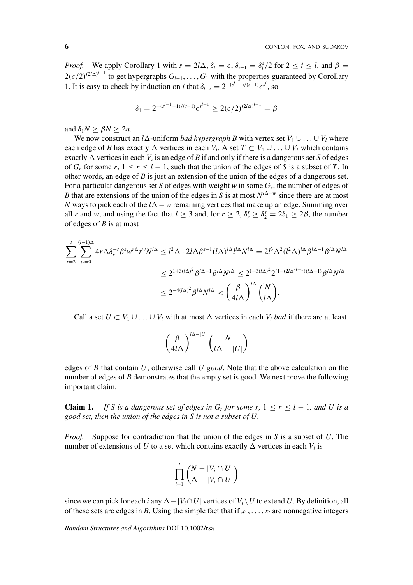*Proof.* We apply Corollary 1 with  $s = 2l\Delta$ ,  $\delta_l = \epsilon$ ,  $\delta_{i-1} = \delta_i^s/2$  for  $2 \le i \le l$ , and  $\beta =$  $2(\epsilon/2)^{(2/\Delta)^{l-1}}$  to get hypergraphs  $G_{l-1}, \ldots, G_1$  with the properties guaranteed by Corollary 1. It is easy to check by induction on *i* that  $\delta_{l-i} = 2^{-(s^i-1)/(s-1)} \epsilon^{s^i}$ , so

$$
\delta_1 = 2^{-(s^{l-1}-1)/(s-1)} \epsilon^{s^{l-1}} \ge 2(\epsilon/2)^{(2l\Delta)^{l-1}} = \beta
$$

and  $\delta_1 N \geq \beta N \geq 2n$ .

We now construct an *l* $\Delta$ -uniform *bad hypergraph B* with vertex set  $V_1 \cup ... \cup V_l$  where each edge of *B* has exactly  $\Delta$  vertices in each  $V_i$ . A set  $T \subset V_1 \cup ... \cup V_l$  which contains exactly  $\Delta$  vertices in each  $V_i$  is an edge of *B* if and only if there is a dangerous set *S* of edges of  $G_r$  for some  $r, 1 \le r \le l-1$ , such that the union of the edges of *S* is a subset of *T*. In other words, an edge of *B* is just an extension of the union of the edges of a dangerous set. For a particular dangerous set *S* of edges with weight *w* in some *Gr*, the number of edges of *B* that are extensions of the union of the edges in *S* is at most *N<sup>l∆−w</sup>* since there are at most *N* ways to pick each of the  $l\Delta$  − *w* remaining vertices that make up an edge. Summing over all *r* and *w*, and using the fact that  $l \ge 3$  and, for  $r \ge 2$ ,  $\delta_r^s \ge \delta_2^s = 2\delta_1 \ge 2\beta$ , the number of edges of *B* is at most

$$
\sum_{r=2}^{l} \sum_{w=0}^{(l-1)\Delta} 4r \Delta \delta_r^{-s} \beta^s w^{r\Delta} r^w N^{l\Delta} \le l^2 \Delta \cdot 2l \Delta \beta^{s-1} (l\Delta)^{l\Delta} l^{l\Delta} N^{l\Delta} = 2l^3 \Delta^2 (l^2 \Delta)^{l\Delta} \beta^{l\Delta-1} \beta^{l\Delta} N^{l\Delta}
$$
  

$$
\le 2^{1+3(l\Delta)^2} \beta^{l\Delta-1} \beta^{l\Delta} N^{l\Delta} \le 2^{1+3(l\Delta)^2} 2^{(1-(2l\Delta)^{l-1})(l\Delta-1)} \beta^{l\Delta} N^{l\Delta}
$$
  

$$
\le 2^{-4(l\Delta)^2} \beta^{l\Delta} N^{l\Delta} < \left(\frac{\beta}{4l\Delta}\right)^{l\Delta} {N \choose l\Delta}.
$$

Call a set  $U \subset V_1 \cup ... \cup V_l$  with at most  $\Delta$  vertices in each  $V_i$  *bad* if there are at least

$$
\left(\frac{\beta}{4l\Delta}\right)^{l\Delta-|U|}\binom{N}{l\Delta-|U|}
$$

edges of *B* that contain *U*; otherwise call *U good*. Note that the above calculation on the number of edges of *B* demonstrates that the empty set is good. We next prove the following important claim.

**Claim 1.** *If* S is a dangerous set of edges in  $G_r$  for some r,  $1 \le r \le l - 1$ , and U is a *good set, then the union of the edges in S is not a subset of U.*

*Proof.* Suppose for contradiction that the union of the edges in *S* is a subset of *U*. The number of extensions of *U* to a set which contains exactly  $\Delta$  vertices in each  $V_i$  is

$$
\prod_{i=1}^l \binom{N-|V_i \cap U|}{\Delta - |V_i \cap U|}
$$

since we can pick for each *i* any  $\Delta - |V_i \cap U|$  vertices of  $V_i \setminus U$  to extend *U*. By definition, all of these sets are edges in *B*. Using the simple fact that if  $x_1, \ldots, x_l$  are nonnegative integers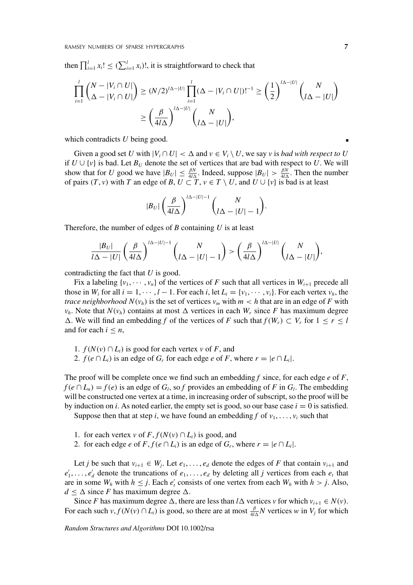then  $\prod_{i=1}^{l} x_i! \leq (\sum_{i=1}^{l} x_i)!$ , it is straightforward to check that

$$
\prod_{i=1}^{l} {N - |V_i \cap U| \choose \Delta - |V_i \cap U|} \ge (N/2)^{l\Delta - |U|} \prod_{i=1}^{l} (\Delta - |V_i \cap U|)!^{-1} \ge \left(\frac{1}{2}\right)^{l\Delta - |U|} {N \choose l\Delta - |U|}
$$

$$
\ge \left(\frac{\beta}{4l\Delta}\right)^{l\Delta - |U|} {N \choose l\Delta - |U|},
$$

which contradicts *U* being good.

Given a good set *U* with  $|V_i \cap U| < \Delta$  and  $v \in V_i \setminus U$ , we say *v* is *bad with respect to U* if  $U \cup \{v\}$  is bad. Let  $B_U$  denote the set of vertices that are bad with respect to U. We will show that for *U* good we have  $|B_U| \leq \frac{\beta N}{4l\Delta}$ . Indeed, suppose  $|B_U| > \frac{\beta N}{4l\Delta}$ . Then the number of pairs  $(T, v)$  with *T* an edge of *B*,  $U \subset T$ ,  $v \in T \setminus U$ , and  $U \cup \{v\}$  is bad is at least

$$
|B_U|\left(\frac{\beta}{4l\Delta}\right)^{l\Delta-|U|-1}\binom{N}{l\Delta-|U|-1}.
$$

Therefore, the number of edges of *B* containing *U* is at least

$$
\frac{|B_U|}{l\Delta - |U|} \left(\frac{\beta}{4l\Delta}\right)^{l\Delta - |U| - 1} \binom{N}{l\Delta - |U| - 1} > \left(\frac{\beta}{4l\Delta}\right)^{l\Delta - |U|} \binom{N}{l\Delta - |U|},
$$

contradicting the fact that *U* is good.

Fix a labeling  $\{v_1, \dots, v_n\}$  of the vertices of *F* such that all vertices in  $W_{i+1}$  precede all those in  $W_i$  for all  $i = 1, \dots, l - 1$ . For each *i*, let  $L_i = \{v_1, \dots, v_i\}$ . For each vertex  $v_h$ , the *trace neighborhood*  $N(v_h)$  is the set of vertices  $v_m$  with  $m < h$  that are in an edge of F with  $v_h$ . Note that  $N(v_h)$  contains at most  $\Delta$  vertices in each  $W_r$  since *F* has maximum degree  $\Delta$ . We will find an embedding *f* of the vertices of *F* such that *f*(*W<sub>r</sub>*) ⊂ *V<sub>r</sub>* for 1 ≤ *r* ≤ *l* and for each  $i \leq n$ ,

1.  $f(N(v) \cap L_i)$  is good for each vertex *v* of *F*, and

2. *f*( $e \cap L_i$ ) is an edge of  $G_r$  for each edge  $e$  of  $F$ , where  $r = |e \cap L_i|$ .

The proof will be complete once we find such an embedding *f* since, for each edge *e* of *F*,  $f(e \cap L_n) = f(e)$  is an edge of *G<sub>l</sub>*, so *f* provides an embedding of *F* in *G<sub>l</sub>*. The embedding will be constructed one vertex at a time, in increasing order of subscript, so the proof will be by induction on *i*. As noted earlier, the empty set is good, so our base case  $i = 0$  is satisfied.

Suppose then that at step *i*, we have found an embedding *f* of  $v_1, \ldots, v_i$  such that

- 1. for each vertex *v* of  $F$ ,  $f(N(v) \cap L_i)$  is good, and
- 2. for each edge *e* of  $F$ ,  $f$  ( $e \cap L_i$ ) is an edge of  $G_r$ , where  $r = |e \cap L_i|$ .

Let *j* be such that  $v_{i+1} \in W_j$ . Let  $e_1, \ldots, e_d$  denote the edges of *F* that contain  $v_{i+1}$  and  $e'_1, \ldots, e'_d$  denote the truncations of  $e_1, \ldots, e_d$  by deleting all *j* vertices from each  $e_t$  that are in some  $W_h$  with  $h \leq j$ . Each  $e'_t$  consists of one vertex from each  $W_h$  with  $h > j$ . Also,  $d \leq \Delta$  since *F* has maximum degree  $\Delta$ .

Since *F* has maximum degree  $\Delta$ , there are less than *l*  $\Delta$  vertices *v* for which  $v_{i+1} \in N(v)$ . For each such  $v, f(N(v) \cap L_i)$  is good, so there are at most  $\frac{\beta}{4l\Delta}N$  vertices *w* in  $V_j$  for which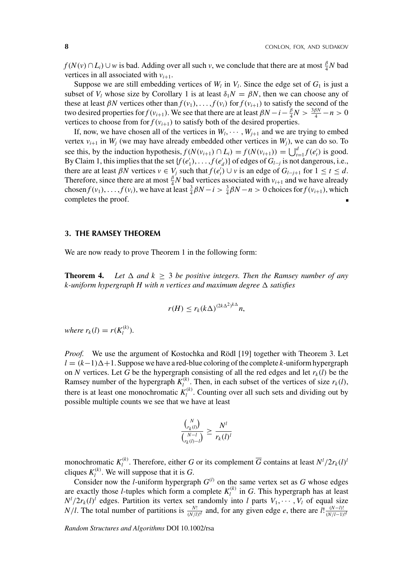*f*(*N*(*v*) ∩ *L<sub>i</sub>*) ∪ *w* is bad. Adding over all such *v*, we conclude that there are at most  $\frac{\beta}{4}N$  bad vertices in all associated with  $v_{i+1}$ .

Suppose we are still embedding vertices of  $W_l$  in  $V_l$ . Since the edge set of  $G_l$  is just a subset of  $V_l$  whose size by Corollary 1 is at least  $\delta_l N = \beta N$ , then we can choose any of these at least  $\beta N$  vertices other than  $f(v_1), \ldots, f(v_i)$  for  $f(v_{i+1})$  to satisfy the second of the two desired properties for *f*(*v*<sub>*i*+1</sub>). We see that there are at least  $\beta N - i - \frac{\beta}{4}N > \frac{3\beta N}{4} - n > 0$ vertices to choose from for  $f(v_{i+1})$  to satisfy both of the desired properties.

If, now, we have chosen all of the vertices in  $W_1, \dots, W_{j+1}$  and we are trying to embed vertex  $v_{i+1}$  in  $W_j$  (we may have already embedded other vertices in  $W_j$ ), we can do so. To see this, by the induction hypothesis,  $f(N(v_{i+1}) \cap L_i) = f(N(v_{i+1})) = \bigcup_{t=1}^d f(e'_t)$  is good. By Claim 1, this implies that the set  $\{f(e'_1), \ldots, f(e'_d)\}$  of edges of  $G_{l-j}$  is not dangerous, i.e., there are at least  $\beta N$  vertices  $v \in V_j$  such that  $f(e'_t) \cup v$  is an edge of  $G_{l-j+1}$  for  $1 \le t \le d$ . Therefore, since there are at most  $\frac{\beta}{4}N$  bad vertices associated with  $v_{i+1}$  and we have already chosen  $f(v_1), \ldots, f(v_i)$ , we have at least  $\frac{3}{4}\beta N - i > \frac{3}{4}\beta N - n > 0$  choices for  $f(v_{i+1})$ , which completes the proof.

# **3. THE RAMSEY THEOREM**

We are now ready to prove Theorem 1 in the following form:

**Theorem 4.** Let  $\Delta$  and  $k \geq 3$  be positive integers. Then the Ramsey number of any *k-uniform hypergraph H with n vertices and maximum degree satisfies*

$$
r(H) \le r_k (k\Delta)^{(2k\Delta^2)^{k\Delta}} n,
$$

*where*  $r_k(l) = r(K_l^{(k)})$ .

*Proof.* We use the argument of Kostochka and Rödl [19] together with Theorem 3. Let  $l = (k-1)\Delta+1$ . Suppose we have a red-blue coloring of the complete *k*-uniform hypergraph on *N* vertices. Let *G* be the hypergraph consisting of all the red edges and let  $r_k(l)$  be the Ramsey number of the hypergraph  $K_l^{(k)}$ . Then, in each subset of the vertices of size  $r_k(l)$ , there is at least one monochromatic  $K_l^{(k)}$ . Counting over all such sets and dividing out by possible multiple counts we see that we have at least

$$
\frac{\binom{N}{r_k(l)}}{\binom{N-l}{r_k(l)-l}} \ge \frac{N^l}{r_k(l)^l}
$$

monochromatic  $K_l^{(k)}$ . Therefore, either *G* or its complement  $\overline{G}$  contains at least  $N^l/2r_k(l)^l$ cliques  $K_l^{(k)}$ . We will suppose that it is *G*.

Consider now the *l*-uniform hypergraph  $G^{(l)}$  on the same vertex set as G whose edges are exactly those *l*-tuples which form a complete  $K_l^{(k)}$  in *G*. This hypergraph has at least  $N^l/2r_k(l)^l$  edges. Partition its vertex set randomly into *l* parts  $V_1, \dots, V_l$  of equal size *N*/*l*. The total number of partitions is  $\frac{N!}{(N/l)!}$  and, for any given edge *e*, there are  $l! \frac{(N-l)!}{(N/l-1)!}$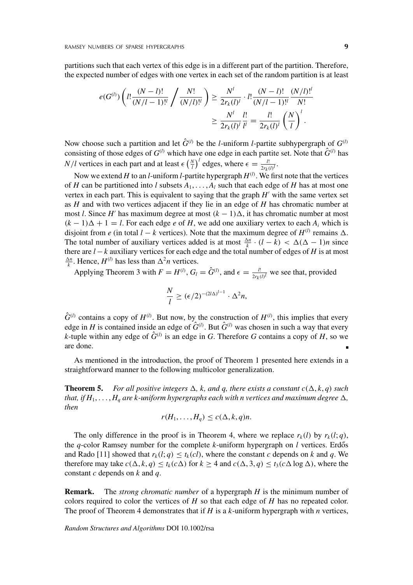partitions such that each vertex of this edge is in a different part of the partition. Therefore, the expected number of edges with one vertex in each set of the random partition is at least

$$
e(G^{(l)}) \left( l! \frac{(N-l)!}{(N/l-1)!} \bigg/ \frac{N!}{(N/l)!} \right) \ge \frac{N^l}{2r_k(l)^l} \cdot l! \frac{(N-l)!}{(N/l-1)!} \frac{(N/l)!^l}{N!}
$$

$$
\ge \frac{N^l}{2r_k(l)^l} \frac{l!}{l^l} = \frac{l!}{2r_k(l)^l} \left(\frac{N}{l}\right)^l.
$$

Now choose such a partition and let  $\hat{G}^{(l)}$  be the *l*-uniform *l*-partite subhypergraph of  $G^{(l)}$ consisting of those edges of  $G^{(l)}$  which have one edge in each partite set. Note that  $\hat{G}^{(l)}$  has *N*/*l* vertices in each part and at least  $\epsilon \left(\frac{N}{l}\right)^l$  edges, where  $\epsilon = \frac{l!}{2r_k(l)!}$ .

Now we extend *H* to an *l*-uniform *l*-partite hypergraph  $H^{(l)}$ . We first note that the vertices of *H* can be partitioned into *l* subsets  $A_1, \ldots, A_l$  such that each edge of *H* has at most one vertex in each part. This is equivalent to saying that the graph  $H'$  with the same vertex set as *H* and with two vertices adjacent if they lie in an edge of *H* has chromatic number at most *l*. Since *H'* has maximum degree at most  $(k - 1)\Delta$ , it has chromatic number at most  $(k-1)\Delta + 1 = l$ . For each edge *e* of *H*, we add one auxiliary vertex to each  $A_i$  which is disjoint from *e* (in total *l* − *k* vertices). Note that the maximum degree of  $H^{(l)}$  remains  $\Delta$ . The total number of auxiliary vertices added is at most  $\frac{\Delta n}{k} \cdot (l - k) < \Delta(\Delta - 1)n$  since there are  $l - k$  auxiliary vertices for each edge and the total number of edges of *H* is at most  $\frac{\Delta n}{k}$ . Hence, *H*<sup>(*l*)</sup> has less than  $\Delta^2 n$  vertices.

Applying Theorem 3 with  $F = H^{(l)}$ ,  $G_l = \hat{G}^{(l)}$ , and  $\epsilon = \frac{l!}{2r_k(l)^l}$  we see that, provided

$$
\frac{N}{l} \ge (\epsilon/2)^{-(2l\Delta)^{l-1}} \cdot \Delta^2 n,
$$

 $\hat{G}^{(l)}$  contains a copy of  $H^{(l)}$ . But now, by the construction of  $H^{(l)}$ , this implies that every edge in *H* is contained inside an edge of  $\hat{G}^{(l)}$ . But  $\hat{G}^{(l)}$  was chosen in such a way that every *k*-tuple within any edge of  $\hat{G}^{(l)}$  is an edge in *G*. Therefore *G* contains a copy of *H*, so we are done.

As mentioned in the introduction, the proof of Theorem 1 presented here extends in a straightforward manner to the following multicolor generalization.

**Theorem 5.** *For all positive integers*  $\Delta$ , *k*, and *q*, there exists a constant  $c(\Delta, k, q)$  such *that, if*  $H_1, \ldots, H_a$  *are k-uniform hypergraphs each with n vertices and maximum degree*  $\Delta$ *, then*

$$
r(H_1,\ldots,H_q)\leq c(\Delta,k,q)n.
$$

The only difference in the proof is in Theorem 4, where we replace  $r_k(l)$  by  $r_k(l; q)$ , the  $q$ -color Ramsey number for the complete  $k$ -uniform hypergraph on  $l$  vertices. Erdős and Rado [11] showed that  $r_k(l; q) \le t_k(cl)$ , where the constant *c* depends on *k* and *q*. We therefore may take  $c(\Delta, k, q) \le t_k(c\Delta)$  for  $k \ge 4$  and  $c(\Delta, 3, q) \le t_3(c\Delta \log \Delta)$ , where the constant *c* depends on *k* and *q*.

**Remark.** The *strong chromatic number* of a hypergraph *H* is the minimum number of colors required to color the vertices of  $H$  so that each edge of  $H$  has no repeated color. The proof of Theorem 4 demonstrates that if *H* is a *k*-uniform hypergraph with *n* vertices,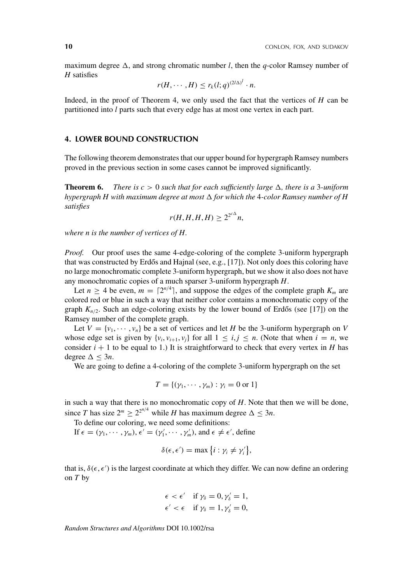maximum degree  $\Delta$ , and strong chromatic number *l*, then the *q*-color Ramsey number of *H* satisfies

$$
r(H,\cdots,H)\leq r_k(l;q)^{(2l\Delta)^l}\cdot n.
$$

Indeed, in the proof of Theorem 4, we only used the fact that the vertices of *H* can be partitioned into *l* parts such that every edge has at most one vertex in each part.

# **4. LOWER BOUND CONSTRUCTION**

The following theorem demonstrates that our upper bound for hypergraph Ramsey numbers proved in the previous section in some cases cannot be improved significantly.

**Theorem 6.** *There is*  $c > 0$  *such that for each sufficiently large*  $\Delta$ , there is a 3-uniform *hypergraph H with maximum degree at most for which the* 4*-color Ramsey number of H satisfies*

$$
r(H, H, H, H) \geq 2^{2^{c\Delta}} n,
$$

*where n is the number of vertices of H.*

*Proof.* Our proof uses the same 4-edge-coloring of the complete 3-uniform hypergraph that was constructed by Erdős and Hajnal (see, e.g., [17]). Not only does this coloring have no large monochromatic complete 3-uniform hypergraph, but we show it also does not have any monochromatic copies of a much sparser 3-uniform hypergraph *H*.

Let  $n \geq 4$  be even,  $m = \lceil 2^{n/4} \rceil$ , and suppose the edges of the complete graph  $K_m$  are colored red or blue in such a way that neither color contains a monochromatic copy of the graph  $K_{n/2}$ . Such an edge-coloring exists by the lower bound of Erdős (see [17]) on the Ramsey number of the complete graph.

Let  $V = \{v_1, \dots, v_n\}$  be a set of vertices and let *H* be the 3-uniform hypergraph on *V* whose edge set is given by  $\{v_i, v_{i+1}, v_j\}$  for all  $1 \le i, j \le n$ . (Note that when  $i = n$ , we consider  $i + 1$  to be equal to 1.) It is straightforward to check that every vertex in *H* has degree  $\Delta < 3n$ .

We are going to define a 4-coloring of the complete 3-uniform hypergraph on the set

$$
T = \{(\gamma_1, \cdots, \gamma_m) : \gamma_i = 0 \text{ or } 1\}
$$

in such a way that there is no monochromatic copy of *H*. Note that then we will be done, since *T* has size  $2^m \ge 2^{2^{n/4}}$  while *H* has maximum degree  $\Delta \le 3n$ .

To define our coloring, we need some definitions:

If  $\epsilon = (\gamma_1, \dots, \gamma_m), \epsilon' = (\gamma'_1, \dots, \gamma'_m)$ , and  $\epsilon \neq \epsilon'$ , define

$$
\delta(\epsilon,\epsilon')=\max\big\{i:\gamma_i\neq\gamma_i'\big\},\,
$$

that is,  $\delta(\epsilon, \epsilon')$  is the largest coordinate at which they differ. We can now define an ordering on *T* by

$$
\epsilon < \epsilon' \quad \text{if } \gamma_{\delta} = 0, \gamma'_{\delta} = 1,
$$
  

$$
\epsilon' < \epsilon \quad \text{if } \gamma_{\delta} = 1, \gamma'_{\delta} = 0,
$$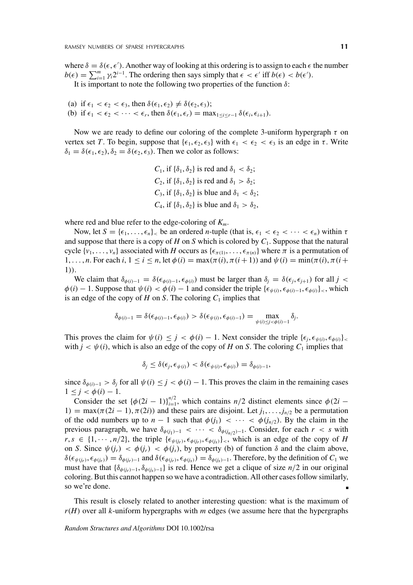where  $\delta = \delta(\epsilon, \epsilon')$ . Another way of looking at this ordering is to assign to each  $\epsilon$  the number  $b(\epsilon) = \sum_{i=1}^{m} \gamma_i 2^{i-1}$ . The ordering then says simply that  $\epsilon < \epsilon'$  iff  $b(\epsilon) < b(\epsilon')$ .

It is important to note the following two properties of the function  $\delta$ :

(a) if  $\epsilon_1 < \epsilon_2 < \epsilon_3$ , then  $\delta(\epsilon_1, \epsilon_2) \neq \delta(\epsilon_2, \epsilon_3)$ ; (b) if  $\epsilon_1 < \epsilon_2 < \cdots < \epsilon_r$ , then  $\delta(\epsilon_1, \epsilon_r) = \max_{1 \le i \le r-1} \delta(\epsilon_i, \epsilon_{i+1})$ .

Now we are ready to define our coloring of the complete 3-uniform hypergraph  $\tau$  on vertex set *T*. To begin, suppose that  $\{\epsilon_1, \epsilon_2, \epsilon_3\}$  with  $\epsilon_1 < \epsilon_2 < \epsilon_3$  is an edge in  $\tau$ . Write  $\delta_1 = \delta(\epsilon_1, \epsilon_2), \delta_2 = \delta(\epsilon_2, \epsilon_3)$ . Then we color as follows:

> *C*<sub>1</sub>, if  $\{\delta_1, \delta_2\}$  is red and  $\delta_1 < \delta_2$ ; *C*<sub>2</sub>, if  $\{\delta_1, \delta_2\}$  is red and  $\delta_1 > \delta_2$ ; *C*<sub>3</sub>, if  $\{\delta_1, \delta_2\}$  is blue and  $\delta_1 < \delta_2$ ; *C*<sub>4</sub>, if  $\{\delta_1, \delta_2\}$  is blue and  $\delta_1 > \delta_2$ ,

where red and blue refer to the edge-coloring of *Km*.

Now, let  $S = {\epsilon_1, ..., \epsilon_n}$ , be an ordered *n*-tuple (that is,  $\epsilon_1 < \epsilon_2 < ... < \epsilon_n$ ) within  $\tau$ and suppose that there is a copy of *H* on *S* which is colored by *C*1. Suppose that the natural cycle  $\{v_1, \ldots, v_n\}$  associated with *H* occurs as  $\{\epsilon_{\pi(1)}, \ldots, \epsilon_{\pi(n)}\}$  where  $\pi$  is a permutation of 1,..., *n*. For each *i*,  $1 \le i \le n$ , let  $\phi(i) = \max(\pi(i), \pi(i+1))$  and  $\psi(i) = \min(\pi(i), \pi(i+1))$ 1)).

We claim that  $\delta_{\phi(i)-1} = \delta(\epsilon_{\phi(i)-1}, \epsilon_{\phi(i)})$  must be larger than  $\delta_j = \delta(\epsilon_j, \epsilon_{j+1})$  for all  $j <$  $\phi(i) - 1$ . Suppose that  $\psi(i) < \phi(i) - 1$  and consider the triple  $\{\epsilon_{\psi(i)}, \epsilon_{\phi(i)-1}, \epsilon_{\phi(i)}\}$ , which is an edge of the copy of  $H$  on  $S$ . The coloring  $C_1$  implies that

$$
\delta_{\phi(i)-1} = \delta(\epsilon_{\phi(i)-1}, \epsilon_{\phi(i)}) > \delta(\epsilon_{\psi(i)}, \epsilon_{\phi(i)-1}) = \max_{\psi(i) \leq j < \phi(i)-1} \delta_j.
$$

This proves the claim for  $\psi(i) \leq j < \phi(i) - 1$ . Next consider the triple  $\{\epsilon_j, \epsilon_{\psi(i)}, \epsilon_{\phi(i)}\}$ with  $j < \psi(i)$ , which is also an edge of the copy of *H* on *S*. The coloring  $C_1$  implies that

$$
\delta_j \leq \delta(\epsilon_j, \epsilon_{\psi(i)}) < \delta(\epsilon_{\psi(i)}, \epsilon_{\phi(i)}) = \delta_{\phi(i)-1},
$$

since  $\delta_{\phi(i)-1} > \delta_j$  for all  $\psi(i) \leq j < \phi(i) - 1$ . This proves the claim in the remaining cases  $1 \leq j < \phi(i) - 1.$ 

Consider the set  ${\phi(2i - 1)}_{i=1}^{n/2}$ , which contains *n*/2 distinct elements since  ${\phi(2i -}$ 1) = max( $\pi$ (2*i* – 1),  $\pi$ (2*i*)) and these pairs are disjoint. Let  $j_1, \ldots, j_{n/2}$  be a permutation of the odd numbers up to  $n-1$  such that  $\phi(j_1) < \cdots < \phi(j_{n/2})$ . By the claim in the previous paragraph, we have  $\delta_{\phi(j_1)-1} < \cdots < \delta_{\phi(j_n/2)-1}$ . Consider, for each  $r < s$  with  $r, s \in \{1, \dots, n/2\}$ , the triple  $\{\epsilon_{\psi(j_r)}, \epsilon_{\phi(j_r)}, \epsilon_{\phi(j_s)}\}$ , which is an edge of the copy of *H* on *S*. Since  $\psi(j_r) < \phi(j_r) < \phi(j_s)$ , by property (b) of function  $\delta$  and the claim above,  $\delta(\epsilon_{\psi(j_r)}, \epsilon_{\phi(j_r)}) = \delta_{\phi(j_r)-1}$  and  $\delta(\epsilon_{\phi(j_r)}, \epsilon_{\phi(j_s)}) = \delta_{\phi(j_s)-1}$ . Therefore, by the definition of *C*<sub>1</sub> we must have that {δφ(*jr*)−1, δφ(*js*)−<sup>1</sup>} is red. Hence we get a clique of size *n*/2 in our original coloring. But this cannot happen so we have a contradiction. All other cases follow similarly, so we're done.

This result is closely related to another interesting question: what is the maximum of *r*(*H*) over all *k*-uniform hypergraphs with *m* edges (we assume here that the hypergraphs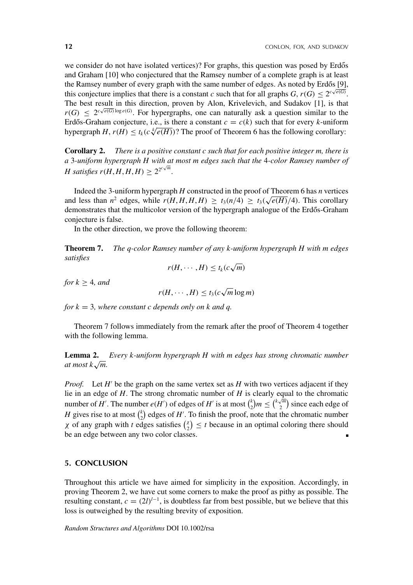we consider do not have isolated vertices)? For graphs, this question was posed by Erdős and Graham [10] who conjectured that the Ramsey number of a complete graph is at least the Ramsey number of every graph with the same number of edges. As noted by Erdős [9], this conjecture implies that there is a constant *c* such that for all graphs  $G$ ,  $r(G) \le 2^{c\sqrt{e(G)}}$ . The best result in this direction, proven by Alon, Krivelevich, and Sudakov [1], is that  $r(G) \leq 2^{c\sqrt{e(G)}\log e(G)}$ . For hypergraphs, one can naturally ask a question similar to the Erdős-Graham conjecture, i.e., is there a constant  $c = c(k)$  such that for every *k*-uniform hypergraph *H*,  $r(H) \le t_k(c\sqrt[k]{e(H)})$ ? The proof of Theorem 6 has the following corollary:

**Corollary 2.** *There is a positive constant c such that for each positive integer m, there is a* 3*-uniform hypergraph H with at most m edges such that the* 4*-color Ramsey number of H* satisfies  $r(H, H, H, H) \geq 2^{2^{c\sqrt{m}}}$ .

Indeed the 3-uniform hypergraph *H* constructed in the proof of Theorem 6 has *n* vertices and less than  $n^2$  edges, while  $r(H, H, H, H) \ge t_3(n/4) \ge t_3(\sqrt{e(H)}/4)$ . This corollary demonstrates that the multicolor version of the hypergraph analogue of the Erdős-Graham conjecture is false.

In the other direction, we prove the following theorem:

**Theorem 7.** *The q-color Ramsey number of any k-uniform hypergraph H with m edges satisfies*

$$
r(H,\cdots,H)\leq t_k(c\sqrt{m})
$$

*for*  $k > 4$ *, and* 

$$
r(H,\cdots,H)\leq t_3(c\sqrt{m}\log m)
$$

*for k* = 3*, where constant c depends only on k and q.*

Theorem 7 follows immediately from the remark after the proof of Theorem 4 together with the following lemma.

**Lemma 2.** *Every k-uniform hypergraph H with m edges has strong chromatic number at most*  $k\sqrt{m}$ .

*Proof.* Let  $H'$  be the graph on the same vertex set as  $H$  with two vertices adjacent if they lie in an edge of *H*. The strong chromatic number of *H* is clearly equal to the chromatic number of *H'*. The number  $e(H')$  of edges of *H'* is at most  $\binom{k}{2}m \leq \binom{k\sqrt{m}}{2}$  $\binom{m}{2}$  since each edge of *H* gives rise to at most  $\binom{k}{2}$  edges of *H*<sup> $\prime$ </sup>. To finish the proof, note that the chromatic number  $\chi$  of any graph with *t* edges satisfies  $\binom{\chi}{2} \leq t$  because in an optimal coloring there should be an edge between any two color classes.

# **5. CONCLUSION**

Throughout this article we have aimed for simplicity in the exposition. Accordingly, in proving Theorem 2, we have cut some corners to make the proof as pithy as possible. The resulting constant,  $c = (2l)^{l-1}$ , is doubtless far from best possible, but we believe that this loss is outweighed by the resulting brevity of exposition.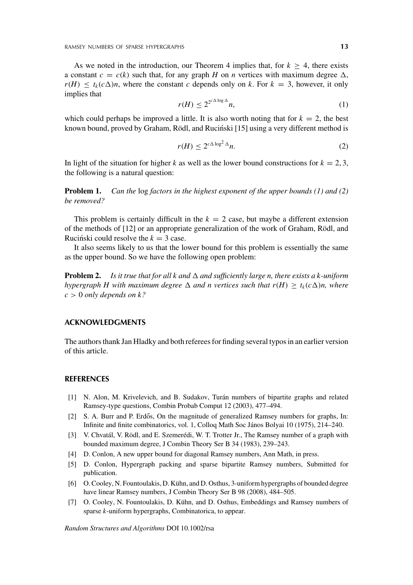As we noted in the introduction, our Theorem 4 implies that, for  $k > 4$ , there exists a constant  $c = c(k)$  such that, for any graph *H* on *n* vertices with maximum degree  $\Delta$ ,  $r(H) \le t_k(c\Delta)n$ , where the constant *c* depends only on *k*. For  $k = 3$ , however, it only implies that

$$
r(H) \le 2^{2^{c\Delta \log \Delta}} n,\tag{1}
$$

which could perhaps be improved a little. It is also worth noting that for  $k = 2$ , the best known bound, proved by Graham, Rödl, and Ruciński [15] using a very different method is

$$
r(H) \le 2^{c\Delta \log^2 \Delta} n. \tag{2}
$$

In light of the situation for higher *k* as well as the lower bound constructions for  $k = 2, 3$ , the following is a natural question:

**Problem 1.** *Can the* log *factors in the highest exponent of the upper bounds (1) and (2) be removed?*

This problem is certainly difficult in the  $k = 2$  case, but maybe a different extension of the methods of [12] or an appropriate generalization of the work of Graham, Rödl, and Rucinski could resolve the  $k = 3$  case.

It also seems likely to us that the lower bound for this problem is essentially the same as the upper bound. So we have the following open problem:

**Problem 2.** *Is it true that for all k and*  $\Delta$  *and sufficiently large n, there exists a k-uniform hypergraph H with maximum degree*  $\Delta$  *and n vertices such that*  $r(H) \geq t_k(c\Delta)n$ *, where*  $c > 0$  *only depends on k?* 

### **ACKNOWLEDGMENTS**

The authors thank Jan Hladky and both referees for finding several typos in an earlier version of this article.

## **REFERENCES**

- [1] N. Alon, M. Krivelevich, and B. Sudakov, Turán numbers of bipartite graphs and related Ramsey-type questions, Combin Probab Comput 12 (2003), 477–494.
- [2] S. A. Burr and P. Erdős, On the magnitude of generalized Ramsey numbers for graphs, In: Infinite and finite combinatorics, vol. 1, Colloq Math Soc János Bolyai 10 (1975), 214–240.
- [3] V. Chvatál, V. Rödl, and E. Szemerédi, W. T. Trotter Jr., The Ramsey number of a graph with bounded maximum degree, J Combin Theory Ser B 34 (1983), 239–243.
- [4] D. Conlon, A new upper bound for diagonal Ramsey numbers, Ann Math, in press.
- [5] D. Conlon, Hypergraph packing and sparse bipartite Ramsey numbers, Submitted for publication.
- [6] O. Cooley, N. Fountoulakis, D. Kühn, and D. Osthus, 3-uniform hypergraphs of bounded degree have linear Ramsey numbers, J Combin Theory Ser B 98 (2008), 484–505.
- [7] O. Cooley, N. Fountoulakis, D. Kühn, and D. Osthus, Embeddings and Ramsey numbers of sparse *k*-uniform hypergraphs, Combinatorica, to appear.